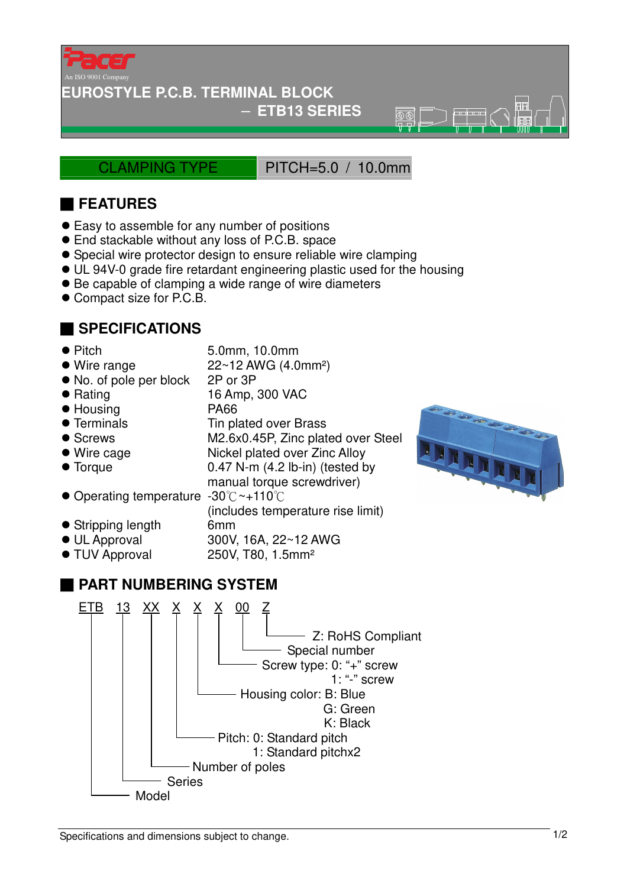

#### **EUROSTYLE P.C.B. TERMINAL BLOCK**

#### − **ETB13 SERIES**

CLAMPING TYPE PITCH=5.0 / 10.0mm

 $\overline{\mathbb{R}}\overline{\mathbb{R}}$ 

# ■ **FEATURES**

- Easy to assemble for any number of positions
- End stackable without any loss of P.C.B. space
- Special wire protector design to ensure reliable wire clamping
- UL 94V-0 grade fire retardant engineering plastic used for the housing
- Be capable of clamping a wide range of wire diameters
- Compact size for P.C.B.

### ■ **SPECIFICATIONS**

- 
- Pitch 5.0mm, 10.0mm
- $\bullet$  Wire range  $22 \sim 12$  AWG (4.0mm<sup>2</sup>)
- No. of pole per block 2P or 3P
- Rating 16 Amp, 300 VAC
- Housing PA66
- Terminals Tin plated over Brass
- Screws M2.6x0.45P, Zinc plated over Steel
- 
- 
- Wire cage Nickel plated over Zinc Alloy ● Torque 0.47 N-m (4.2 lb-in) (tested by manual torque screwdriver)

(includes temperature rise limit)

- Operating temperature -30°C ~+110°C
- Stripping length 6mm
- UL Approval 300V, 16A, 22~12 AWG
- TUV Approval 250V, T80, 1.5mm<sup>2</sup>

## ■ **PART NUMBERING SYSTEM**